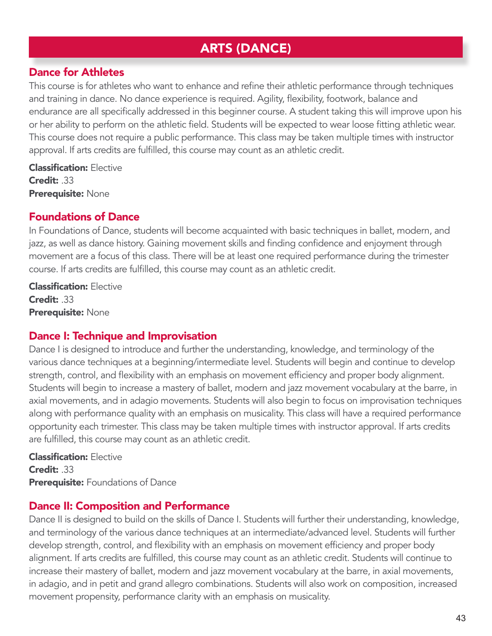# ARTS (DANCE)

## Dance for Athletes

This course is for athletes who want to enhance and refine their athletic performance through techniques and training in dance. No dance experience is required. Agility, flexibility, footwork, balance and endurance are all specifically addressed in this beginner course. A student taking this will improve upon his or her ability to perform on the athletic field. Students will be expected to wear loose fitting athletic wear. This course does not require a public performance. This class may be taken multiple times with instructor approval. If arts credits are fulfilled, this course may count as an athletic credit.

Classification: Elective Credit: .33 Prerequisite: None

# Foundations of Dance

In Foundations of Dance, students will become acquainted with basic techniques in ballet, modern, and jazz, as well as dance history. Gaining movement skills and finding confidence and enjoyment through movement are a focus of this class. There will be at least one required performance during the trimester course. If arts credits are fulfilled, this course may count as an athletic credit.

Classification: Elective Credit: .33 Prerequisite: None

# Dance I: Technique and Improvisation

Dance I is designed to introduce and further the understanding, knowledge, and terminology of the various dance techniques at a beginning/intermediate level. Students will begin and continue to develop strength, control, and flexibility with an emphasis on movement efficiency and proper body alignment. Students will begin to increase a mastery of ballet, modern and jazz movement vocabulary at the barre, in axial movements, and in adagio movements. Students will also begin to focus on improvisation techniques along with performance quality with an emphasis on musicality. This class will have a required performance opportunity each trimester. This class may be taken multiple times with instructor approval. If arts credits are fulfilled, this course may count as an athletic credit.

Classification: Elective Credit: .33 **Prerequisite:** Foundations of Dance

### Dance II: Composition and Performance

Dance II is designed to build on the skills of Dance I. Students will further their understanding, knowledge, and terminology of the various dance techniques at an intermediate/advanced level. Students will further develop strength, control, and flexibility with an emphasis on movement efficiency and proper body alignment. If arts credits are fulfilled, this course may count as an athletic credit. Students will continue to increase their mastery of ballet, modern and jazz movement vocabulary at the barre, in axial movements, in adagio, and in petit and grand allegro combinations. Students will also work on composition, increased movement propensity, performance clarity with an emphasis on musicality.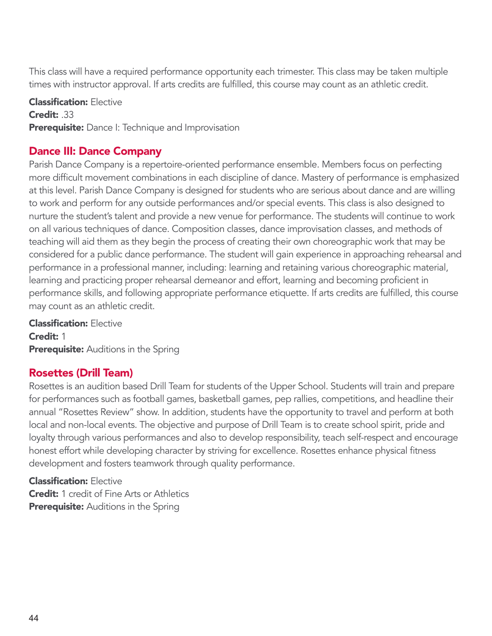This class will have a required performance opportunity each trimester. This class may be taken multiple times with instructor approval. If arts credits are fulfilled, this course may count as an athletic credit.

**Classification: Elective** Credit: .33 Prerequisite: Dance I: Technique and Improvisation

# Dance III: Dance Company

Parish Dance Company is a repertoire-oriented performance ensemble. Members focus on perfecting more difficult movement combinations in each discipline of dance. Mastery of performance is emphasized at this level. Parish Dance Company is designed for students who are serious about dance and are willing to work and perform for any outside performances and/or special events. This class is also designed to nurture the student's talent and provide a new venue for performance. The students will continue to work on all various techniques of dance. Composition classes, dance improvisation classes, and methods of teaching will aid them as they begin the process of creating their own choreographic work that may be considered for a public dance performance. The student will gain experience in approaching rehearsal and performance in a professional manner, including: learning and retaining various choreographic material, learning and practicing proper rehearsal demeanor and effort, learning and becoming proficient in performance skills, and following appropriate performance etiquette. If arts credits are fulfilled, this course may count as an athletic credit.

Classification: Elective Credit: 1 **Prerequisite:** Auditions in the Spring

# Rosettes (Drill Team)

Rosettes is an audition based Drill Team for students of the Upper School. Students will train and prepare for performances such as football games, basketball games, pep rallies, competitions, and headline their annual "Rosettes Review" show. In addition, students have the opportunity to travel and perform at both local and non-local events. The objective and purpose of Drill Team is to create school spirit, pride and loyalty through various performances and also to develop responsibility, teach self-respect and encourage honest effort while developing character by striving for excellence. Rosettes enhance physical fitness development and fosters teamwork through quality performance.

Classification: Elective **Credit:** 1 credit of Fine Arts or Athletics Prerequisite: Auditions in the Spring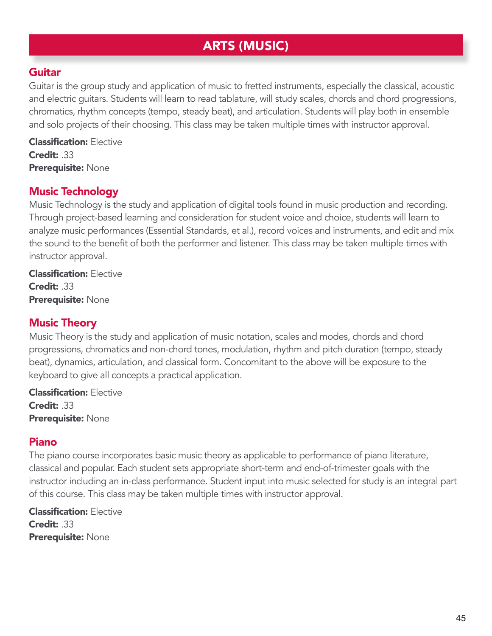# ARTS (MUSIC)

### Guitar

Guitar is the group study and application of music to fretted instruments, especially the classical, acoustic and electric guitars. Students will learn to read tablature, will study scales, chords and chord progressions, chromatics, rhythm concepts (tempo, steady beat), and articulation. Students will play both in ensemble and solo projects of their choosing. This class may be taken multiple times with instructor approval.

Classification: Elective Credit: .33 Prerequisite: None

### Music Technology

Music Technology is the study and application of digital tools found in music production and recording. Through project-based learning and consideration for student voice and choice, students will learn to analyze music performances (Essential Standards, et al.), record voices and instruments, and edit and mix the sound to the benefit of both the performer and listener. This class may be taken multiple times with instructor approval.

Classification: Elective Credit: .33 Prerequisite: None

### Music Theory

Music Theory is the study and application of music notation, scales and modes, chords and chord progressions, chromatics and non-chord tones, modulation, rhythm and pitch duration (tempo, steady beat), dynamics, articulation, and classical form. Concomitant to the above will be exposure to the keyboard to give all concepts a practical application.

Classification: Elective Credit: .33 Prerequisite: None

#### Piano

The piano course incorporates basic music theory as applicable to performance of piano literature, classical and popular. Each student sets appropriate short-term and end-of-trimester goals with the instructor including an in-class performance. Student input into music selected for study is an integral part of this course. This class may be taken multiple times with instructor approval.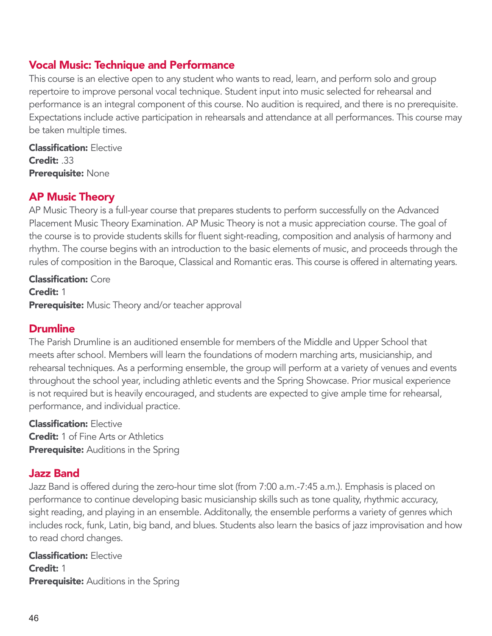# Vocal Music: Technique and Performance

This course is an elective open to any student who wants to read, learn, and perform solo and group repertoire to improve personal vocal technique. Student input into music selected for rehearsal and performance is an integral component of this course. No audition is required, and there is no prerequisite. Expectations include active participation in rehearsals and attendance at all performances. This course may be taken multiple times.

**Classification: Elective** Credit: .33 Prerequisite: None

## AP Music Theory

AP Music Theory is a full-year course that prepares students to perform successfully on the Advanced Placement Music Theory Examination. AP Music Theory is not a music appreciation course. The goal of the course is to provide students skills for fluent sight-reading, composition and analysis of harmony and rhythm. The course begins with an introduction to the basic elements of music, and proceeds through the rules of composition in the Baroque, Classical and Romantic eras. This course is offered in alternating years.

Classification: Core Credit: 1 Prerequisite: Music Theory and/or teacher approval

### Drumline

The Parish Drumline is an auditioned ensemble for members of the Middle and Upper School that meets after school. Members will learn the foundations of modern marching arts, musicianship, and rehearsal techniques. As a performing ensemble, the group will perform at a variety of venues and events throughout the school year, including athletic events and the Spring Showcase. Prior musical experience is not required but is heavily encouraged, and students are expected to give ample time for rehearsal, performance, and individual practice.

Classification: Elective **Credit:** 1 of Fine Arts or Athletics **Prerequisite:** Auditions in the Spring

# Jazz Band

Jazz Band is offered during the zero-hour time slot (from 7:00 a.m.-7:45 a.m.). Emphasis is placed on performance to continue developing basic musicianship skills such as tone quality, rhythmic accuracy, sight reading, and playing in an ensemble. Additonally, the ensemble performs a variety of genres which includes rock, funk, Latin, big band, and blues. Students also learn the basics of jazz improvisation and how to read chord changes.

Classification: Elective Credit: 1 **Prerequisite:** Auditions in the Spring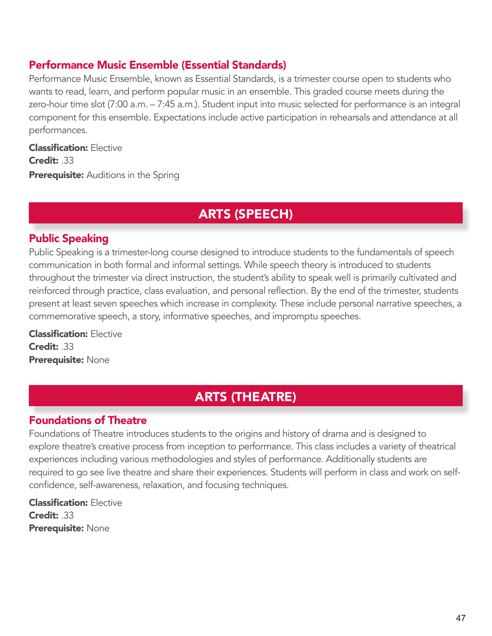# Performance Music Ensemble (Essential Standards)

Performance Music Ensemble, known as Essential Standards, is a trimester course open to students who wants to read, learn, and perform popular music in an ensemble. This graded course meets during the zero-hour time slot (7:00 a.m. – 7:45 a.m.). Student input into music selected for performance is an integral component for this ensemble. Expectations include active participation in rehearsals and attendance at all performances.

Classification: Elective Credit: .33 **Prerequisite:** Auditions in the Spring

# ARTS (SPEECH)

## Public Speaking

Public Speaking is a trimester-long course designed to introduce students to the fundamentals of speech communication in both formal and informal settings. While speech theory is introduced to students throughout the trimester via direct instruction, the student's ability to speak well is primarily cultivated and reinforced through practice, class evaluation, and personal reflection. By the end of the trimester, students present at least seven speeches which increase in complexity. These include personal narrative speeches, a commemorative speech, a story, informative speeches, and impromptu speeches.

Classification: Elective Credit: .33 Prerequisite: None

# ARTS (THEATRE)

# Foundations of Theatre

Foundations of Theatre introduces students to the origins and history of drama and is designed to explore theatre's creative process from inception to performance. This class includes a variety of theatrical experiences including various methodologies and styles of performance. Additionally students are required to go see live theatre and share their experiences. Students will perform in class and work on selfconfidence, self-awareness, relaxation, and focusing techniques.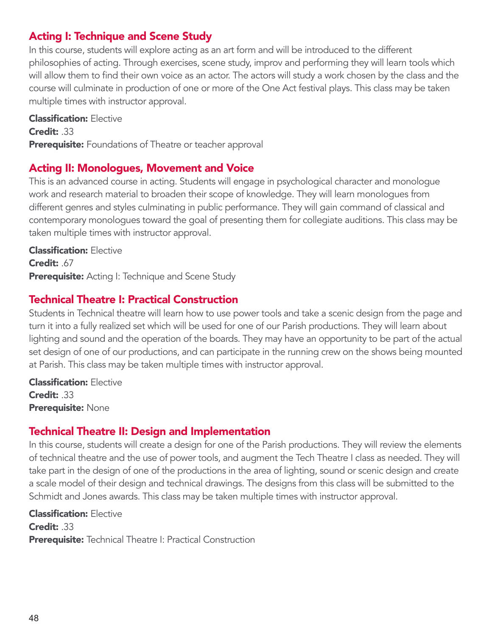# Acting I: Technique and Scene Study

In this course, students will explore acting as an art form and will be introduced to the different philosophies of acting. Through exercises, scene study, improv and performing they will learn tools which will allow them to find their own voice as an actor. The actors will study a work chosen by the class and the course will culminate in production of one or more of the One Act festival plays. This class may be taken multiple times with instructor approval.

Classification: Elective Credit: .33 Prerequisite: Foundations of Theatre or teacher approval

### Acting II: Monologues, Movement and Voice

This is an advanced course in acting. Students will engage in psychological character and monologue work and research material to broaden their scope of knowledge. They will learn monologues from different genres and styles culminating in public performance. They will gain command of classical and contemporary monologues toward the goal of presenting them for collegiate auditions. This class may be taken multiple times with instructor approval.

Classification: Elective Credit: .67 **Prerequisite:** Acting I: Technique and Scene Study

### Technical Theatre I: Practical Construction

Students in Technical theatre will learn how to use power tools and take a scenic design from the page and turn it into a fully realized set which will be used for one of our Parish productions. They will learn about lighting and sound and the operation of the boards. They may have an opportunity to be part of the actual set design of one of our productions, and can participate in the running crew on the shows being mounted at Parish. This class may be taken multiple times with instructor approval.

Classification: Elective Credit: .33 Prerequisite: None

### Technical Theatre II: Design and Implementation

In this course, students will create a design for one of the Parish productions. They will review the elements of technical theatre and the use of power tools, and augment the Tech Theatre I class as needed. They will take part in the design of one of the productions in the area of lighting, sound or scenic design and create a scale model of their design and technical drawings. The designs from this class will be submitted to the Schmidt and Jones awards. This class may be taken multiple times with instructor approval.

Classification: Elective Credit: .33 Prerequisite: Technical Theatre I: Practical Construction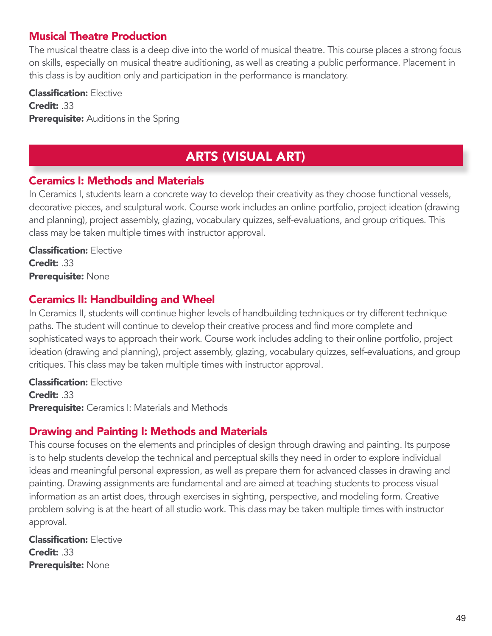# Musical Theatre Production

The musical theatre class is a deep dive into the world of musical theatre. This course places a strong focus on skills, especially on musical theatre auditioning, as well as creating a public performance. Placement in this class is by audition only and participation in the performance is mandatory.

Classification: Elective Credit: .33 **Prerequisite:** Auditions in the Spring

# ARTS (VISUAL ART)

#### Ceramics I: Methods and Materials

In Ceramics I, students learn a concrete way to develop their creativity as they choose functional vessels, decorative pieces, and sculptural work. Course work includes an online portfolio, project ideation (drawing and planning), project assembly, glazing, vocabulary quizzes, self-evaluations, and group critiques. This class may be taken multiple times with instructor approval.

Classification: Elective Credit: .33 Prerequisite: None

### Ceramics II: Handbuilding and Wheel

In Ceramics II, students will continue higher levels of handbuilding techniques or try different technique paths. The student will continue to develop their creative process and find more complete and sophisticated ways to approach their work. Course work includes adding to their online portfolio, project ideation (drawing and planning), project assembly, glazing, vocabulary quizzes, self-evaluations, and group critiques. This class may be taken multiple times with instructor approval.

Classification: Elective Credit: 33 **Prerequisite:** Ceramics I: Materials and Methods

### Drawing and Painting I: Methods and Materials

This course focuses on the elements and principles of design through drawing and painting. Its purpose is to help students develop the technical and perceptual skills they need in order to explore individual ideas and meaningful personal expression, as well as prepare them for advanced classes in drawing and painting. Drawing assignments are fundamental and are aimed at teaching students to process visual information as an artist does, through exercises in sighting, perspective, and modeling form. Creative problem solving is at the heart of all studio work. This class may be taken multiple times with instructor approval.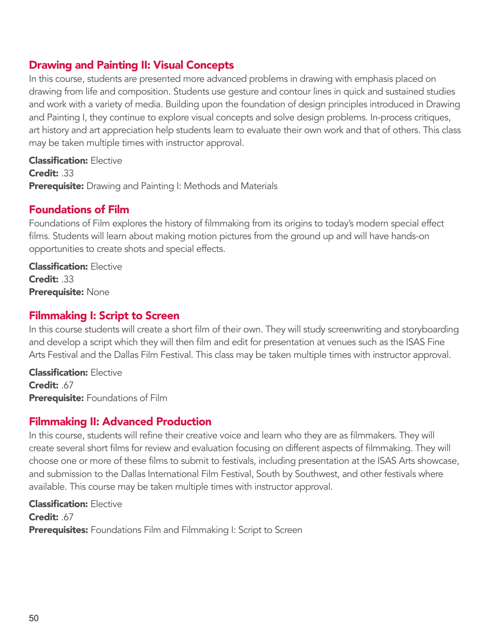# Drawing and Painting II: Visual Concepts

In this course, students are presented more advanced problems in drawing with emphasis placed on drawing from life and composition. Students use gesture and contour lines in quick and sustained studies and work with a variety of media. Building upon the foundation of design principles introduced in Drawing and Painting I, they continue to explore visual concepts and solve design problems. In-process critiques, art history and art appreciation help students learn to evaluate their own work and that of others. This class may be taken multiple times with instructor approval.

Classification: Elective Credit: 33 Prerequisite: Drawing and Painting I: Methods and Materials

### Foundations of Film

Foundations of Film explores the history of filmmaking from its origins to today's modern special effect films. Students will learn about making motion pictures from the ground up and will have hands-on opportunities to create shots and special effects.

Classification: Elective Credit: .33 Prerequisite: None

### Filmmaking I: Script to Screen

In this course students will create a short film of their own. They will study screenwriting and storyboarding and develop a script which they will then film and edit for presentation at venues such as the ISAS Fine Arts Festival and the Dallas Film Festival. This class may be taken multiple times with instructor approval.

Classification: Elective Credit: .67 **Prerequisite:** Foundations of Film

### Filmmaking II: Advanced Production

In this course, students will refine their creative voice and learn who they are as filmmakers. They will create several short films for review and evaluation focusing on different aspects of filmmaking. They will choose one or more of these films to submit to festivals, including presentation at the ISAS Arts showcase, and submission to the Dallas International Film Festival, South by Southwest, and other festivals where available. This course may be taken multiple times with instructor approval.

Classification: Elective Credit: .67 Prerequisites: Foundations Film and Filmmaking I: Script to Screen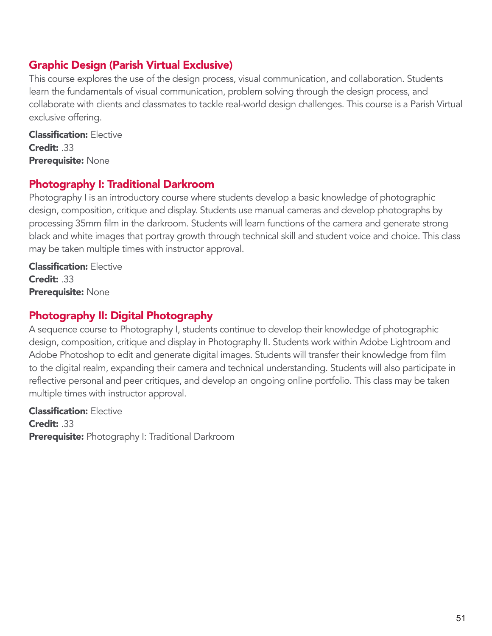# Graphic Design (Parish Virtual Exclusive)

This course explores the use of the design process, visual communication, and collaboration. Students learn the fundamentals of visual communication, problem solving through the design process, and collaborate with clients and classmates to tackle real-world design challenges. This course is a Parish Virtual exclusive offering.

Classification: Elective Credit: .33 Prerequisite: None

# Photography I: Traditional Darkroom

Photography I is an introductory course where students develop a basic knowledge of photographic design, composition, critique and display. Students use manual cameras and develop photographs by processing 35mm film in the darkroom. Students will learn functions of the camera and generate strong black and white images that portray growth through technical skill and student voice and choice. This class may be taken multiple times with instructor approval.

Classification: Elective Credit: .33 Prerequisite: None

# Photography II: Digital Photography

A sequence course to Photography I, students continue to develop their knowledge of photographic design, composition, critique and display in Photography II. Students work within Adobe Lightroom and Adobe Photoshop to edit and generate digital images. Students will transfer their knowledge from film to the digital realm, expanding their camera and technical understanding. Students will also participate in reflective personal and peer critiques, and develop an ongoing online portfolio. This class may be taken multiple times with instructor approval.

Classification: Elective Credit: .33 Prerequisite: Photography I: Traditional Darkroom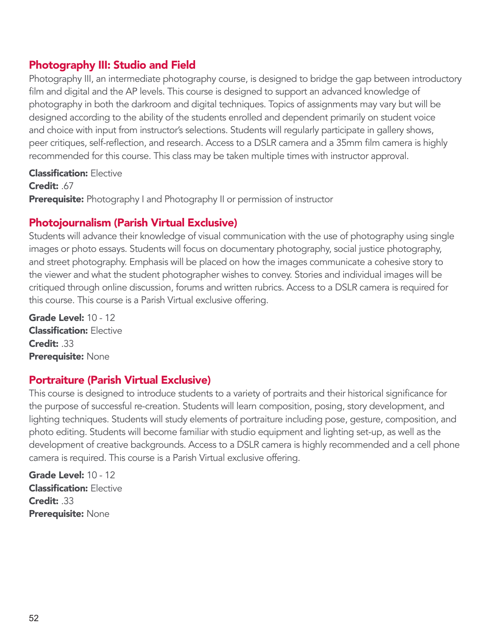# Photography III: Studio and Field

Photography III, an intermediate photography course, is designed to bridge the gap between introductory film and digital and the AP levels. This course is designed to support an advanced knowledge of photography in both the darkroom and digital techniques. Topics of assignments may vary but will be designed according to the ability of the students enrolled and dependent primarily on student voice and choice with input from instructor's selections. Students will regularly participate in gallery shows, peer critiques, self-reflection, and research. Access to a DSLR camera and a 35mm film camera is highly recommended for this course. This class may be taken multiple times with instructor approval.

#### **Classification: Elective**

Credit: .67

Prerequisite: Photography I and Photography II or permission of instructor

## Photojournalism (Parish Virtual Exclusive)

Students will advance their knowledge of visual communication with the use of photography using single images or photo essays. Students will focus on documentary photography, social justice photography, and street photography. Emphasis will be placed on how the images communicate a cohesive story to the viewer and what the student photographer wishes to convey. Stories and individual images will be critiqued through online discussion, forums and written rubrics. Access to a DSLR camera is required for this course. This course is a Parish Virtual exclusive offering.

Grade Level: 10 - 12 Classification: Elective Credit: .33 Prerequisite: None

### Portraiture (Parish Virtual Exclusive)

This course is designed to introduce students to a variety of portraits and their historical significance for the purpose of successful re-creation. Students will learn composition, posing, story development, and lighting techniques. Students will study elements of portraiture including pose, gesture, composition, and photo editing. Students will become familiar with studio equipment and lighting set-up, as well as the development of creative backgrounds. Access to a DSLR camera is highly recommended and a cell phone camera is required. This course is a Parish Virtual exclusive offering.

Grade Level: 10 - 12 Classification: Elective Credit: 33 Prerequisite: None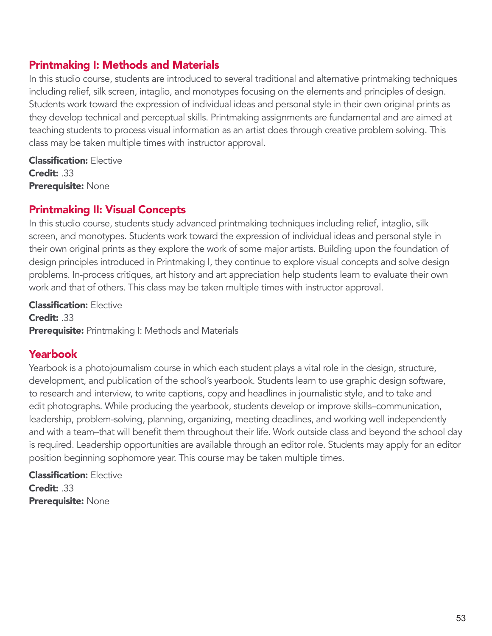# Printmaking I: Methods and Materials

In this studio course, students are introduced to several traditional and alternative printmaking techniques including relief, silk screen, intaglio, and monotypes focusing on the elements and principles of design. Students work toward the expression of individual ideas and personal style in their own original prints as they develop technical and perceptual skills. Printmaking assignments are fundamental and are aimed at teaching students to process visual information as an artist does through creative problem solving. This class may be taken multiple times with instructor approval.

Classification: Elective Credit: 33 Prerequisite: None

## Printmaking II: Visual Concepts

In this studio course, students study advanced printmaking techniques including relief, intaglio, silk screen, and monotypes. Students work toward the expression of individual ideas and personal style in their own original prints as they explore the work of some major artists. Building upon the foundation of design principles introduced in Printmaking I, they continue to explore visual concepts and solve design problems. In-process critiques, art history and art appreciation help students learn to evaluate their own work and that of others. This class may be taken multiple times with instructor approval.

Classification: Elective Credit: .33 **Prerequisite:** Printmaking I: Methods and Materials

# Yearbook

Yearbook is a photojournalism course in which each student plays a vital role in the design, structure, development, and publication of the school's yearbook. Students learn to use graphic design software, to research and interview, to write captions, copy and headlines in journalistic style, and to take and edit photographs. While producing the yearbook, students develop or improve skills–communication, leadership, problem-solving, planning, organizing, meeting deadlines, and working well independently and with a team–that will benefit them throughout their life. Work outside class and beyond the school day is required. Leadership opportunities are available through an editor role. Students may apply for an editor position beginning sophomore year. This course may be taken multiple times.